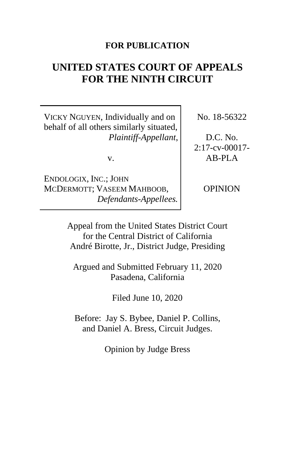## **FOR PUBLICATION**

# **UNITED STATES COURT OF APPEALS FOR THE NINTH CIRCUIT**

VICKY NGUYEN, Individually and on behalf of all others similarly situated, *Plaintiff-Appellant*,

v.

ENDOLOGIX, INC.; JOHN MCDERMOTT; VASEEM MAHBOOB, *Defendants-Appellees.* No. 18-56322

D.C. No. 2:17-cv-00017- AB-PLA

OPINION

Appeal from the United States District Court for the Central District of California André Birotte, Jr., District Judge, Presiding

Argued and Submitted February 11, 2020 Pasadena, California

Filed June 10, 2020

Before: Jay S. Bybee, Daniel P. Collins, and Daniel A. Bress, Circuit Judges.

Opinion by Judge Bress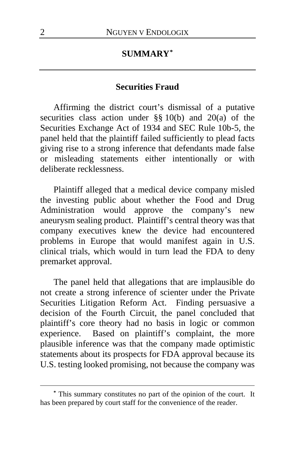## **SUMMARY[\\*](#page-1-0)**

## **Securities Fraud**

Affirming the district court's dismissal of a putative securities class action under  $\S\S 10(b)$  and  $20(a)$  of the Securities Exchange Act of 1934 and SEC Rule 10b-5, the panel held that the plaintiff failed sufficiently to plead facts giving rise to a strong inference that defendants made false or misleading statements either intentionally or with deliberate recklessness.

Plaintiff alleged that a medical device company misled the investing public about whether the Food and Drug<br>Administration would approve the company's new approve the company's new aneurysm sealing product. Plaintiff's central theory was that company executives knew the device had encountered problems in Europe that would manifest again in U.S. clinical trials, which would in turn lead the FDA to deny premarket approval.

The panel held that allegations that are implausible do not create a strong inference of scienter under the Private Securities Litigation Reform Act. Finding persuasive a decision of the Fourth Circuit, the panel concluded that plaintiff's core theory had no basis in logic or common experience. Based on plaintiff's complaint, the more plausible inference was that the company made optimistic statements about its prospects for FDA approval because its U.S. testing looked promising, not because the company was

<span id="page-1-0"></span>**<sup>\*</sup>** This summary constitutes no part of the opinion of the court. It has been prepared by court staff for the convenience of the reader.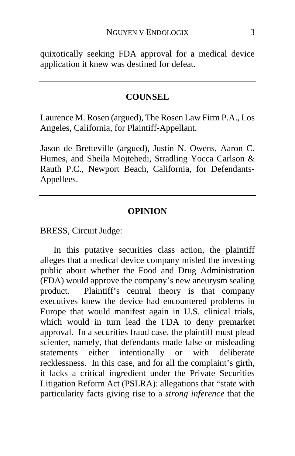quixotically seeking FDA approval for a medical device application it knew was destined for defeat.

## **COUNSEL**

Laurence M. Rosen (argued), The Rosen Law Firm P.A., Los Angeles, California, for Plaintiff-Appellant.

Jason de Bretteville (argued), Justin N. Owens, Aaron C. Humes, and Sheila Mojtehedi, Stradling Yocca Carlson & Rauth P.C., Newport Beach, California, for Defendants-Appellees.

#### **OPINION**

BRESS, Circuit Judge:

In this putative securities class action, the plaintiff alleges that a medical device company misled the investing public about whether the Food and Drug Administration (FDA) would approve the company's new aneurysm sealing product. Plaintiff's central theory is that company executives knew the device had encountered problems in Europe that would manifest again in U.S. clinical trials, which would in turn lead the FDA to deny premarket approval. In a securities fraud case, the plaintiff must plead scienter, namely, that defendants made false or misleading statements either intentionally or with deliberate recklessness. In this case, and for all the complaint's girth, it lacks a critical ingredient under the Private Securities Litigation Reform Act (PSLRA): allegations that "state with particularity facts giving rise to a *strong inference* that the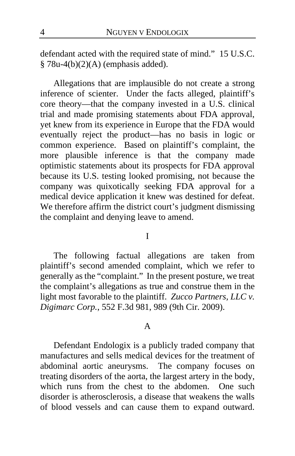defendant acted with the required state of mind." 15 U.S.C.  $§ 78u-4(b)(2)(A)$  (emphasis added).

Allegations that are implausible do not create a strong inference of scienter. Under the facts alleged, plaintiff's core theory—that the company invested in a U.S. clinical trial and made promising statements about FDA approval, yet knew from its experience in Europe that the FDA would eventually reject the product—has no basis in logic or common experience. Based on plaintiff's complaint, the more plausible inference is that the company made optimistic statements about its prospects for FDA approval because its U.S. testing looked promising, not because the company was quixotically seeking FDA approval for a medical device application it knew was destined for defeat. We therefore affirm the district court's judgment dismissing the complaint and denying leave to amend.

#### I

The following factual allegations are taken from plaintiff's second amended complaint, which we refer to generally as the "complaint." In the present posture, we treat the complaint's allegations as true and construe them in the light most favorable to the plaintiff. *Zucco Partners, LLC v. Digimarc Corp.*, 552 F.3d 981, 989 (9th Cir. 2009).

#### A

Defendant Endologix is a publicly traded company that manufactures and sells medical devices for the treatment of abdominal aortic aneurysms. The company focuses on treating disorders of the aorta, the largest artery in the body, which runs from the chest to the abdomen. One such disorder is atherosclerosis, a disease that weakens the walls of blood vessels and can cause them to expand outward.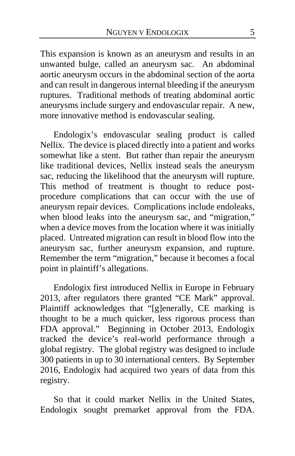This expansion is known as an aneurysm and results in an unwanted bulge, called an aneurysm sac. An abdominal aortic aneurysm occurs in the abdominal section of the aorta and can result in dangerous internal bleeding if the aneurysm ruptures. Traditional methods of treating abdominal aortic aneurysms include surgery and endovascular repair. A new, more innovative method is endovascular sealing.

Endologix's endovascular sealing product is called Nellix. The device is placed directly into a patient and works somewhat like a stent. But rather than repair the aneurysm like traditional devices, Nellix instead seals the aneurysm sac, reducing the likelihood that the aneurysm will rupture. This method of treatment is thought to reduce postprocedure complications that can occur with the use of aneurysm repair devices. Complications include endoleaks, when blood leaks into the aneurysm sac, and "migration," when a device moves from the location where it was initially placed. Untreated migration can result in blood flow into the aneurysm sac, further aneurysm expansion, and rupture. Remember the term "migration," because it becomes a focal point in plaintiff's allegations.

Endologix first introduced Nellix in Europe in February 2013, after regulators there granted "CE Mark" approval. Plaintiff acknowledges that "[g]enerally, CE marking is thought to be a much quicker, less rigorous process than FDA approval." Beginning in October 2013, Endologix tracked the device's real-world performance through a global registry. The global registry was designed to include 300 patients in up to 30 international centers. By September 2016, Endologix had acquired two years of data from this registry.

So that it could market Nellix in the United States, Endologix sought premarket approval from the FDA.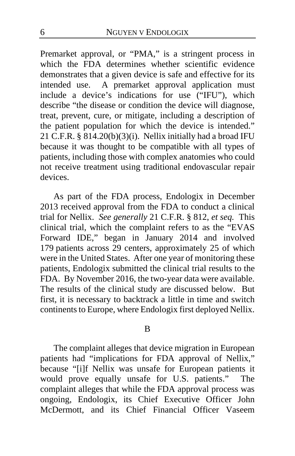Premarket approval, or "PMA," is a stringent process in which the FDA determines whether scientific evidence demonstrates that a given device is safe and effective for its intended use. A premarket approval application must include a device's indications for use ("IFU"), which describe "the disease or condition the device will diagnose, treat, prevent, cure, or mitigate, including a description of the patient population for which the device is intended." 21 C.F.R.  $§ 814.20(b)(3)(i)$ . Nellix initially had a broad IFU because it was thought to be compatible with all types of patients, including those with complex anatomies who could not receive treatment using traditional endovascular repair devices.

As part of the FDA process, Endologix in December 2013 received approval from the FDA to conduct a clinical trial for Nellix. *See generally* 21 C.F.R. § 812, *et seq.* This clinical trial, which the complaint refers to as the "EVAS Forward IDE," began in January 2014 and involved 179 patients across 29 centers, approximately 25 of which were in the United States. After one year of monitoring these patients, Endologix submitted the clinical trial results to the FDA. By November 2016, the two-year data were available. The results of the clinical study are discussed below. But first, it is necessary to backtrack a little in time and switch continents to Europe, where Endologix first deployed Nellix.

#### B

The complaint alleges that device migration in European patients had "implications for FDA approval of Nellix," because "[i]f Nellix was unsafe for European patients it would prove equally unsafe for U.S. patients." The complaint alleges that while the FDA approval process was ongoing, Endologix, its Chief Executive Officer John McDermott, and its Chief Financial Officer Vaseem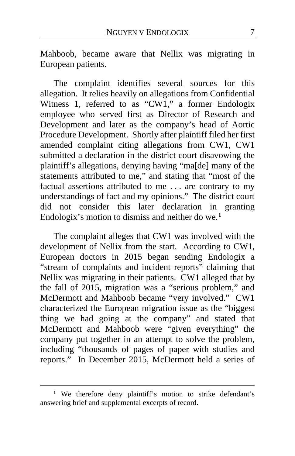Mahboob, became aware that Nellix was migrating in European patients.

The complaint identifies several sources for this allegation. It relies heavily on allegations from Confidential Witness 1, referred to as "CW1," a former Endologix employee who served first as Director of Research and Development and later as the company's head of Aortic Procedure Development. Shortly after plaintiff filed her first amended complaint citing allegations from CW1, CW1 submitted a declaration in the district court disavowing the plaintiff's allegations, denying having "ma[de] many of the statements attributed to me," and stating that "most of the factual assertions attributed to me . . . are contrary to my understandings of fact and my opinions." The district court did not consider this later declaration in granting Endologix's motion to dismiss and neither do we.**[1](#page-6-0)**

The complaint alleges that CW1 was involved with the development of Nellix from the start. According to CW1, European doctors in 2015 began sending Endologix a "stream of complaints and incident reports" claiming that Nellix was migrating in their patients. CW1 alleged that by the fall of 2015, migration was a "serious problem," and McDermott and Mahboob became "very involved." CW1 characterized the European migration issue as the "biggest thing we had going at the company" and stated that McDermott and Mahboob were "given everything" the company put together in an attempt to solve the problem, including "thousands of pages of paper with studies and reports." In December 2015, McDermott held a series of

<span id="page-6-0"></span><sup>&</sup>lt;sup>1</sup> We therefore deny plaintiff's motion to strike defendant's answering brief and supplemental excerpts of record.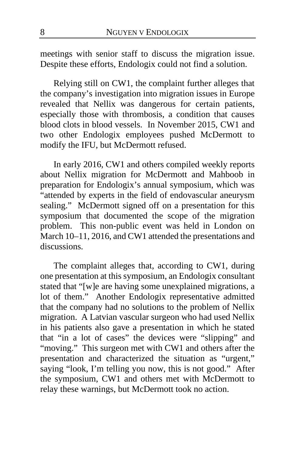meetings with senior staff to discuss the migration issue. Despite these efforts, Endologix could not find a solution.

Relying still on CW1, the complaint further alleges that the company's investigation into migration issues in Europe revealed that Nellix was dangerous for certain patients, especially those with thrombosis, a condition that causes blood clots in blood vessels. In November 2015, CW1 and two other Endologix employees pushed McDermott to modify the IFU, but McDermott refused.

In early 2016, CW1 and others compiled weekly reports about Nellix migration for McDermott and Mahboob in preparation for Endologix's annual symposium, which was "attended by experts in the field of endovascular aneurysm sealing." McDermott signed off on a presentation for this symposium that documented the scope of the migration problem. This non-public event was held in London on March 10–11, 2016, and CW1 attended the presentations and discussions.

The complaint alleges that, according to CW1, during one presentation at this symposium, an Endologix consultant stated that "[w]e are having some unexplained migrations, a lot of them." Another Endologix representative admitted that the company had no solutions to the problem of Nellix migration.A Latvian vascular surgeon who had used Nellix in his patients also gave a presentation in which he stated that "in a lot of cases" the devices were "slipping" and "moving." This surgeon met with CW1 and others after the presentation and characterized the situation as "urgent," saying "look, I'm telling you now, this is not good." After the symposium, CW1 and others met with McDermott to relay these warnings, but McDermott took no action.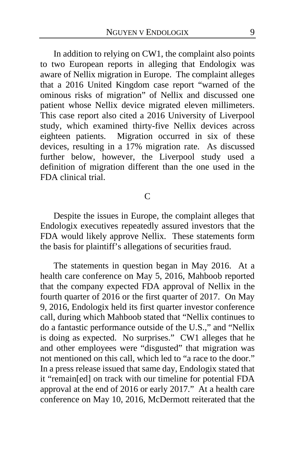In addition to relying on CW1, the complaint also points to two European reports in alleging that Endologix was aware of Nellix migration in Europe. The complaint alleges that a 2016 United Kingdom case report "warned of the ominous risks of migration" of Nellix and discussed one patient whose Nellix device migrated eleven millimeters. This case report also cited a 2016 University of Liverpool study, which examined thirty-five Nellix devices across eighteen patients. Migration occurred in six of these devices, resulting in a 17% migration rate. As discussed further below, however, the Liverpool study used a definition of migration different than the one used in the FDA clinical trial.

#### C

Despite the issues in Europe, the complaint alleges that Endologix executives repeatedly assured investors that the FDA would likely approve Nellix. These statements form the basis for plaintiff's allegations of securities fraud.

The statements in question began in May 2016. At a health care conference on May 5, 2016, Mahboob reported that the company expected FDA approval of Nellix in the fourth quarter of 2016 or the first quarter of 2017. On May 9, 2016, Endologix held its first quarter investor conference call, during which Mahboob stated that "Nellix continues to do a fantastic performance outside of the U.S.," and "Nellix is doing as expected. No surprises." CW1 alleges that he and other employees were "disgusted" that migration was not mentioned on this call, which led to "a race to the door." In a press release issued that same day, Endologix stated that it "remain[ed] on track with our timeline for potential FDA approval at the end of 2016 or early 2017." At a health care conference on May 10, 2016, McDermott reiterated that the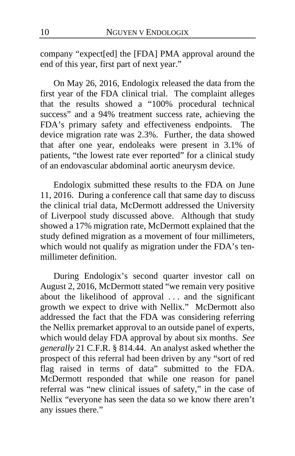company "expect[ed] the [FDA] PMA approval around the end of this year, first part of next year."

On May 26, 2016, Endologix released the data from the first year of the FDA clinical trial. The complaint alleges that the results showed a "100% procedural technical success" and a 94% treatment success rate, achieving the FDA's primary safety and effectiveness endpoints. The device migration rate was 2.3%. Further, the data showed that after one year, endoleaks were present in 3.1% of patients, "the lowest rate ever reported" for a clinical study of an endovascular abdominal aortic aneurysm device.

Endologix submitted these results to the FDA on June 11, 2016. During a conference call that same day to discuss the clinical trial data, McDermott addressed the University of Liverpool study discussed above. Although that study showed a 17% migration rate, McDermott explained that the study defined migration as a movement of four millimeters, which would not qualify as migration under the FDA's tenmillimeter definition.

During Endologix's second quarter investor call on August 2, 2016, McDermott stated "we remain very positive about the likelihood of approval . . . and the significant growth we expect to drive with Nellix." McDermott also addressed the fact that the FDA was considering referring the Nellix premarket approval to an outside panel of experts, which would delay FDA approval by about six months. *See generally* 21 C.F.R. § 814.44. An analyst asked whether the prospect of this referral had been driven by any "sort of red flag raised in terms of data" submitted to the FDA. McDermott responded that while one reason for panel referral was "new clinical issues of safety," in the case of Nellix "everyone has seen the data so we know there aren't any issues there."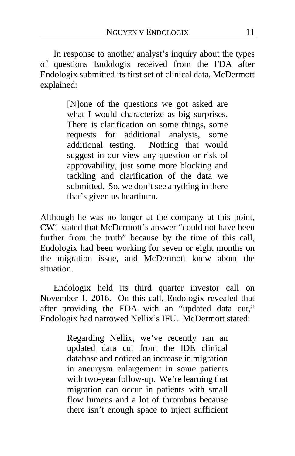In response to another analyst's inquiry about the types of questions Endologix received from the FDA after Endologix submitted its first set of clinical data, McDermott explained:

> [N]one of the questions we got asked are what I would characterize as big surprises. There is clarification on some things, some requests for additional analysis, some additional testing. Nothing that would suggest in our view any question or risk of approvability, just some more blocking and tackling and clarification of the data we submitted. So, we don't see anything in there that's given us heartburn.

Although he was no longer at the company at this point, CW1 stated that McDermott's answer "could not have been further from the truth" because by the time of this call, Endologix had been working for seven or eight months on the migration issue, and McDermott knew about the situation.

Endologix held its third quarter investor call on November 1, 2016. On this call, Endologix revealed that after providing the FDA with an "updated data cut," Endologix had narrowed Nellix's IFU. McDermott stated:

> Regarding Nellix, we've recently ran an updated data cut from the IDE clinical database and noticed an increase in migration in aneurysm enlargement in some patients with two-year follow-up. We're learning that migration can occur in patients with small flow lumens and a lot of thrombus because there isn't enough space to inject sufficient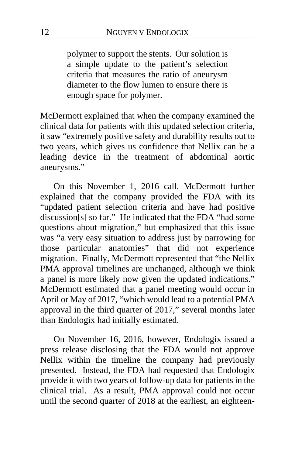polymer to support the stents. Our solution is a simple update to the patient's selection criteria that measures the ratio of aneurysm diameter to the flow lumen to ensure there is enough space for polymer.

McDermott explained that when the company examined the clinical data for patients with this updated selection criteria, it saw "extremely positive safety and durability results out to two years, which gives us confidence that Nellix can be a leading device in the treatment of abdominal aortic aneurysms."

On this November 1, 2016 call, McDermott further explained that the company provided the FDA with its "updated patient selection criteria and have had positive discussion[s] so far." He indicated that the FDA "had some questions about migration," but emphasized that this issue was "a very easy situation to address just by narrowing for those particular anatomies" that did not experience migration.Finally, McDermott represented that "the Nellix PMA approval timelines are unchanged, although we think a panel is more likely now given the updated indications." McDermott estimated that a panel meeting would occur in April or May of 2017, "which would lead to a potential PMA approval in the third quarter of 2017," several months later than Endologix had initially estimated.

On November 16, 2016, however, Endologix issued a press release disclosing that the FDA would not approve Nellix within the timeline the company had previously presented. Instead, the FDA had requested that Endologix provide it with two years of follow-up data for patients in the clinical trial. As a result, PMA approval could not occur until the second quarter of 2018 at the earliest, an eighteen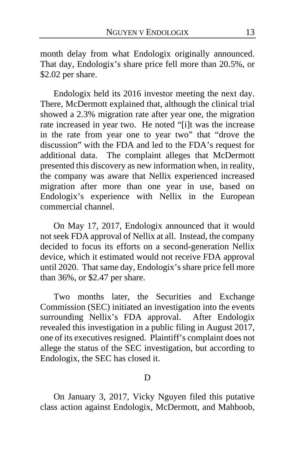month delay from what Endologix originally announced. That day, Endologix's share price fell more than 20.5%, or \$2.02 per share.

Endologix held its 2016 investor meeting the next day. There, McDermott explained that, although the clinical trial showed a 2.3% migration rate after year one, the migration rate increased in year two. He noted "[i]t was the increase in the rate from year one to year two" that "drove the discussion" with the FDA and led to the FDA's request for additional data. The complaint alleges that McDermott presented this discovery as new information when, in reality, the company was aware that Nellix experienced increased migration after more than one year in use, based on Endologix's experience with Nellix in the European commercial channel.

On May 17, 2017, Endologix announced that it would not seek FDA approval of Nellix at all. Instead, the company decided to focus its efforts on a second-generation Nellix device, which it estimated would not receive FDA approval until 2020. That same day, Endologix's share price fell more than 36%, or \$2.47 per share.

Two months later, the Securities and Exchange Commission (SEC) initiated an investigation into the events surrounding Nellix's FDA approval. After Endologix revealed this investigation in a public filing in August 2017, one of its executives resigned. Plaintiff's complaint does not allege the status of the SEC investigation, but according to Endologix, the SEC has closed it.

## D

On January 3, 2017, Vicky Nguyen filed this putative class action against Endologix, McDermott, and Mahboob,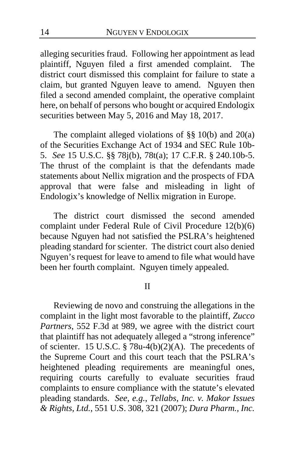alleging securities fraud.Following her appointment as lead plaintiff, Nguyen filed a first amended complaint. The district court dismissed this complaint for failure to state a claim, but granted Nguyen leave to amend. Nguyen then filed a second amended complaint, the operative complaint here, on behalf of persons who bought or acquired Endologix securities between May 5, 2016 and May 18, 2017.

The complaint alleged violations of  $\S$ § 10(b) and 20(a) of the Securities Exchange Act of 1934 and SEC Rule 10b-5. *See* 15 U.S.C. §§ 78j(b), 78t(a); 17 C.F.R. § 240.10b-5. The thrust of the complaint is that the defendants made statements about Nellix migration and the prospects of FDA approval that were false and misleading in light of Endologix's knowledge of Nellix migration in Europe.

The district court dismissed the second amended complaint under Federal Rule of Civil Procedure 12(b)(6) because Nguyen had not satisfied the PSLRA's heightened pleading standard for scienter. The district court also denied Nguyen's request for leave to amend to file what would have been her fourth complaint. Nguyen timely appealed.

#### II

Reviewing de novo and construing the allegations in the complaint in the light most favorable to the plaintiff, *Zucco Partners*, 552 F.3d at 989, we agree with the district court that plaintiff has not adequately alleged a "strong inference" of scienter. 15 U.S.C. § 78u-4(b)(2)(A). The precedents of the Supreme Court and this court teach that the PSLRA's heightened pleading requirements are meaningful ones, requiring courts carefully to evaluate securities fraud complaints to ensure compliance with the statute's elevated pleading standards. *See, e.g.*, *Tellabs, Inc. v. Makor Issues & Rights, Ltd.*, 551 U.S. 308, 321 (2007); *Dura Pharm., Inc.*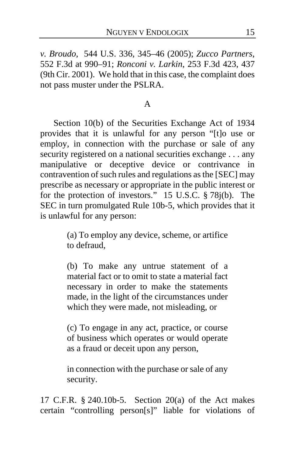*v. Broudo*, 544 U.S. 336, 345–46 (2005); *Zucco Partners*, 552 F.3d at 990–91; *Ronconi v. Larkin*, 253 F.3d 423, 437 (9th Cir. 2001). We hold that in this case, the complaint does not pass muster under the PSLRA.

## A

Section 10(b) of the Securities Exchange Act of 1934 provides that it is unlawful for any person "[t]o use or employ, in connection with the purchase or sale of any security registered on a national securities exchange . . . any manipulative or deceptive device or contrivance in contravention of such rules and regulations as the [SEC] may prescribe as necessary or appropriate in the public interest or for the protection of investors." 15 U.S.C. § 78j(b). The SEC in turn promulgated Rule 10b-5, which provides that it is unlawful for any person:

> (a) To employ any device, scheme, or artifice to defraud,

> (b) To make any untrue statement of a material fact or to omit to state a material fact necessary in order to make the statements made, in the light of the circumstances under which they were made, not misleading, or

> (c) To engage in any act, practice, or course of business which operates or would operate as a fraud or deceit upon any person,

> in connection with the purchase or sale of any security.

17 C.F.R. § 240.10b-5. Section 20(a) of the Act makes certain "controlling person[s]" liable for violations of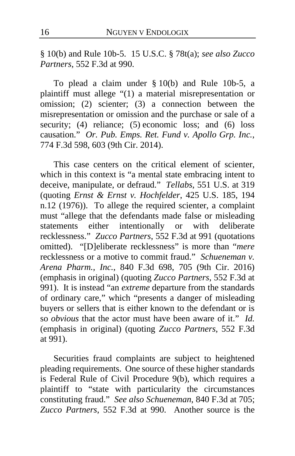§ 10(b) and Rule 10b-5. 15 U.S.C. § 78t(a); *see also Zucco Partners*, 552 F.3d at 990.

To plead a claim under § 10(b) and Rule 10b-5, a plaintiff must allege "(1) a material misrepresentation or omission; (2) scienter; (3) a connection between the misrepresentation or omission and the purchase or sale of a security; (4) reliance; (5) economic loss; and (6) loss causation." *Or. Pub. Emps. Ret. Fund v. Apollo Grp. Inc.*, 774 F.3d 598, 603 (9th Cir. 2014).

This case centers on the critical element of scienter, which in this context is "a mental state embracing intent to deceive, manipulate, or defraud." *Tellabs*, 551 U.S. at 319 (quoting *Ernst & Ernst v. Hochfelder*, 425 U.S. 185, 194 n.12 (1976)). To allege the required scienter, a complaint must "allege that the defendants made false or misleading statements either intentionally or with deliberate recklessness." *Zucco Partners*, 552 F.3d at 991 (quotations omitted). "[D]eliberate recklessness" is more than "*mere* recklessness or a motive to commit fraud." *Schueneman v. Arena Pharm., Inc.*, 840 F.3d 698, 705 (9th Cir. 2016) (emphasis in original) (quoting *Zucco Partners*, 552 F.3d at 991). It is instead "an *extreme* departure from the standards of ordinary care," which "presents a danger of misleading buyers or sellers that is either known to the defendant or is so *obvious* that the actor must have been aware of it." *Id.* (emphasis in original) (quoting *Zucco Partners*, 552 F.3d at 991).

Securities fraud complaints are subject to heightened pleading requirements. One source of these higher standards is Federal Rule of Civil Procedure 9(b), which requires a plaintiff to "state with particularity the circumstances constituting fraud." *See also Schueneman*, 840 F.3d at 705; *Zucco Partners*, 552 F.3d at 990. Another source is the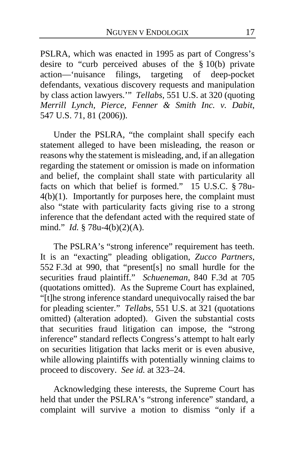PSLRA, which was enacted in 1995 as part of Congress's desire to "curb perceived abuses of the § 10(b) private action—'nuisance filings, targeting of deep-pocket defendants, vexatious discovery requests and manipulation by class action lawyers.'" *Tellabs*, 551 U.S. at 320 (quoting *Merrill Lynch, Pierce, Fenner & Smith Inc. v. Dabit*, 547 U.S. 71, 81 (2006)).

Under the PSLRA, "the complaint shall specify each statement alleged to have been misleading, the reason or reasons why the statement is misleading, and, if an allegation regarding the statement or omission is made on information and belief, the complaint shall state with particularity all facts on which that belief is formed." 15 U.S.C. § 78u-4(b)(1). Importantly for purposes here, the complaint must also "state with particularity facts giving rise to a strong inference that the defendant acted with the required state of mind." *Id.* § 78u-4(b)(2)(A).

The PSLRA's "strong inference" requirement has teeth. It is an "exacting" pleading obligation, *Zucco Partners*, 552 F.3d at 990, that "present[s] no small hurdle for the securities fraud plaintiff." *Schueneman*, 840 F.3d at 705 (quotations omitted). As the Supreme Court has explained, "[t]he strong inference standard unequivocally raised the bar for pleading scienter." *Tellabs*, 551 U.S. at 321 (quotations omitted) (alteration adopted). Given the substantial costs that securities fraud litigation can impose, the "strong inference" standard reflects Congress's attempt to halt early on securities litigation that lacks merit or is even abusive, while allowing plaintiffs with potentially winning claims to proceed to discovery. *See id.* at 323–24.

Acknowledging these interests, the Supreme Court has held that under the PSLRA's "strong inference" standard, a complaint will survive a motion to dismiss "only if a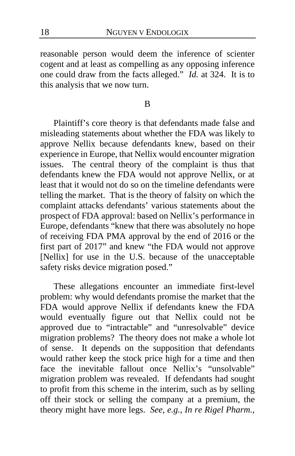reasonable person would deem the inference of scienter cogent and at least as compelling as any opposing inference one could draw from the facts alleged." *Id.* at 324. It is to this analysis that we now turn.

B

Plaintiff's core theory is that defendants made false and misleading statements about whether the FDA was likely to approve Nellix because defendants knew, based on their experience in Europe, that Nellix would encounter migration issues. The central theory of the complaint is thus that defendants knew the FDA would not approve Nellix, or at least that it would not do so on the timeline defendants were telling the market. That is the theory of falsity on which the complaint attacks defendants' various statements about the prospect of FDA approval: based on Nellix's performance in Europe, defendants "knew that there was absolutely no hope of receiving FDA PMA approval by the end of 2016 or the first part of 2017" and knew "the FDA would not approve [Nellix] for use in the U.S. because of the unacceptable safety risks device migration posed."

These allegations encounter an immediate first-level problem: why would defendants promise the market that the FDA would approve Nellix if defendants knew the FDA would eventually figure out that Nellix could not be approved due to "intractable" and "unresolvable" device migration problems? The theory does not make a whole lot of sense. It depends on the supposition that defendants would rather keep the stock price high for a time and then face the inevitable fallout once Nellix's "unsolvable" migration problem was revealed. If defendants had sought to profit from this scheme in the interim, such as by selling off their stock or selling the company at a premium, the theory might have more legs. *See, e.g.*, *In re Rigel Pharm.,*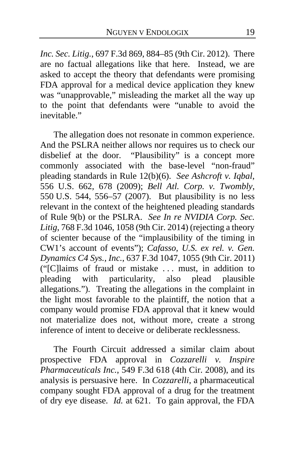*Inc. Sec. Litig.*, 697 F.3d 869, 884–85 (9th Cir. 2012). There are no factual allegations like that here. Instead, we are asked to accept the theory that defendants were promising FDA approval for a medical device application they knew was "unapprovable," misleading the market all the way up to the point that defendants were "unable to avoid the inevitable."

The allegation does not resonate in common experience. And the PSLRA neither allows nor requires us to check our disbelief at the door. "Plausibility" is a concept more "Plausibility" is a concept more commonly associated with the base-level "non-fraud" pleading standards in Rule 12(b)(6). *See Ashcroft v. Iqbal*, 556 U.S. 662, 678 (2009); *Bell Atl. Corp. v. Twombly*, 550 U.S. 544, 556–57 (2007). But plausibility is no less relevant in the context of the heightened pleading standards of Rule 9(b) or the PSLRA. *See In re NVIDIA Corp. Sec. Litig*, 768 F.3d 1046, 1058 (9th Cir. 2014) (rejecting a theory of scienter because of the "implausibility of the timing in CW1's account of events"); *Cafasso, U.S. ex rel. v. Gen. Dynamics C4 Sys., Inc.*, 637 F.3d 1047, 1055 (9th Cir. 2011) ("[C]laims of fraud or mistake . . . must, in addition to pleading with particularity, also plead plausible allegations."). Treating the allegations in the complaint in the light most favorable to the plaintiff, the notion that a company would promise FDA approval that it knew would not materialize does not, without more, create a strong inference of intent to deceive or deliberate recklessness.

The Fourth Circuit addressed a similar claim about prospective FDA approval in *Cozzarelli v. Inspire Pharmaceuticals Inc.*, 549 F.3d 618 (4th Cir. 2008), and its analysis is persuasive here. In *Cozzarelli*, a pharmaceutical company sought FDA approval of a drug for the treatment of dry eye disease. *Id.* at 621. To gain approval, the FDA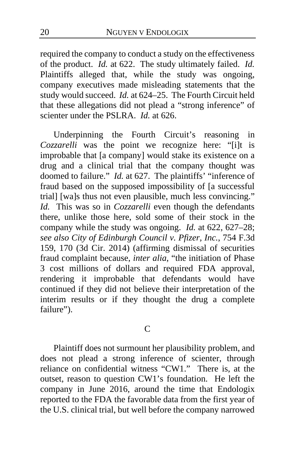required the company to conduct a study on the effectiveness of the product. *Id.* at 622. The study ultimately failed. *Id.* Plaintiffs alleged that, while the study was ongoing, company executives made misleading statements that the study would succeed. *Id.* at 624–25. The Fourth Circuit held that these allegations did not plead a "strong inference" of scienter under the PSLRA. *Id.* at 626.

Underpinning the Fourth Circuit's reasoning in *Cozzarelli* was the point we recognize here: "[i]t is improbable that [a company] would stake its existence on a drug and a clinical trial that the company thought was doomed to failure." *Id.* at 627. The plaintiffs' "inference of fraud based on the supposed impossibility of [a successful trial] [wa]s thus not even plausible, much less convincing." *Id.* This was so in *Cozzarelli* even though the defendants there, unlike those here, sold some of their stock in the company while the study was ongoing. *Id.* at 622, 627–28; *see also City of Edinburgh Council v. Pfizer, Inc.*, 754 F.3d 159, 170 (3d Cir. 2014) (affirming dismissal of securities fraud complaint because, *inter alia*, "the initiation of Phase 3 cost millions of dollars and required FDA approval, rendering it improbable that defendants would have continued if they did not believe their interpretation of the interim results or if they thought the drug a complete failure").

C

Plaintiff does not surmount her plausibility problem, and does not plead a strong inference of scienter, through reliance on confidential witness "CW1." There is, at the outset, reason to question CW1's foundation. He left the company in June 2016, around the time that Endologix reported to the FDA the favorable data from the first year of the U.S. clinical trial, but well before the company narrowed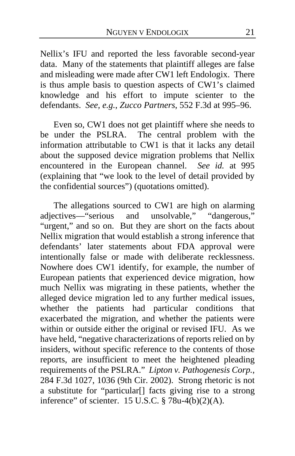Nellix's IFU and reported the less favorable second-year data. Many of the statements that plaintiff alleges are false and misleading were made after CW1 left Endologix. There is thus ample basis to question aspects of CW1's claimed knowledge and his effort to impute scienter to the defendants. *See, e.g.*, *Zucco Partners*, 552 F.3d at 995–96.

Even so, CW1 does not get plaintiff where she needs to be under the PSLRA. The central problem with the The central problem with the information attributable to CW1 is that it lacks any detail about the supposed device migration problems that Nellix encountered in the European channel. *See id.* at 995 (explaining that "we look to the level of detail provided by the confidential sources") (quotations omitted).

The allegations sourced to CW1 are high on alarming adjectives—"serious and unsolvable," "dangerous," "urgent," and so on. But they are short on the facts about Nellix migration that would establish a strong inference that defendants' later statements about FDA approval were intentionally false or made with deliberate recklessness. Nowhere does CW1 identify, for example, the number of European patients that experienced device migration, how much Nellix was migrating in these patients, whether the alleged device migration led to any further medical issues, whether the patients had particular conditions that exacerbated the migration, and whether the patients were within or outside either the original or revised IFU. As we have held, "negative characterizations of reports relied on by insiders, without specific reference to the contents of those reports, are insufficient to meet the heightened pleading requirements of the PSLRA." *Lipton v. Pathogenesis Corp.*, 284 F.3d 1027, 1036 (9th Cir. 2002). Strong rhetoric is not a substitute for "particular[] facts giving rise to a strong inference" of scienter.  $15 \overline{U}$ .S.C. § 78u-4(b)(2)(A).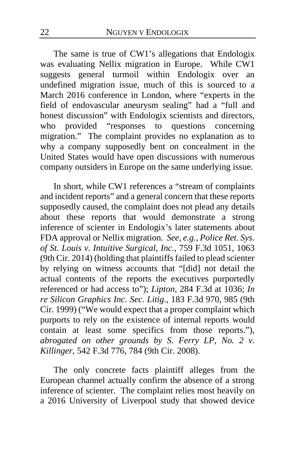The same is true of CW1's allegations that Endologix was evaluating Nellix migration in Europe. While CW1 suggests general turmoil within Endologix over an undefined migration issue, much of this is sourced to a March 2016 conference in London, where "experts in the field of endovascular aneurysm sealing" had a "full and honest discussion" with Endologix scientists and directors, who provided "responses to questions concerning migration." The complaint provides no explanation as to why a company supposedly bent on concealment in the United States would have open discussions with numerous company outsiders in Europe on the same underlying issue.

In short, while CW1 references a "stream of complaints and incident reports" and a general concern that these reports supposedly caused, the complaint does not plead any details about these reports that would demonstrate a strong inference of scienter in Endologix's later statements about FDA approval or Nellix migration. *See, e.g.*, *Police Ret. Sys. of St. Louis v. Intuitive Surgical, Inc.*, 759 F.3d 1051, 1063 (9th Cir. 2014) (holding that plaintiffs failed to plead scienter by relying on witness accounts that "[did] not detail the actual contents of the reports the executives purportedly referenced or had access to"); *Lipton*, 284 F.3d at 1036; *In re Silicon Graphics Inc. Sec. Litig.*, 183 F.3d 970, 985 (9th Cir. 1999) ("We would expect that a proper complaint which purports to rely on the existence of internal reports would contain at least some specifics from those reports."), *abrogated on other grounds by S. Ferry LP, No. 2 v. Killinger*, 542 F.3d 776, 784 (9th Cir. 2008).

The only concrete facts plaintiff alleges from the European channel actually confirm the absence of a strong inference of scienter. The complaint relies most heavily on a 2016 University of Liverpool study that showed device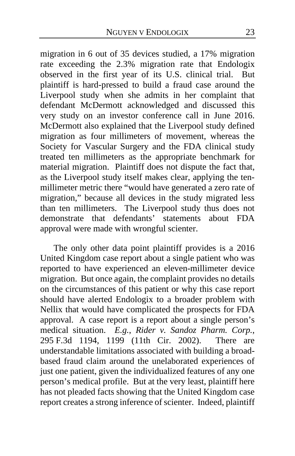migration in 6 out of 35 devices studied, a 17% migration rate exceeding the 2.3% migration rate that Endologix observed in the first year of its U.S. clinical trial. But plaintiff is hard-pressed to build a fraud case around the Liverpool study when she admits in her complaint that defendant McDermott acknowledged and discussed this very study on an investor conference call in June 2016. McDermott also explained that the Liverpool study defined migration as four millimeters of movement, whereas the Society for Vascular Surgery and the FDA clinical study treated ten millimeters as the appropriate benchmark for material migration. Plaintiff does not dispute the fact that, as the Liverpool study itself makes clear, applying the tenmillimeter metric there "would have generated a zero rate of migration," because all devices in the study migrated less than ten millimeters. The Liverpool study thus does not demonstrate that defendants' statements about FDA approval were made with wrongful scienter.

The only other data point plaintiff provides is a 2016 United Kingdom case report about a single patient who was reported to have experienced an eleven-millimeter device migration. But once again, the complaint provides no details on the circumstances of this patient or why this case report should have alerted Endologix to a broader problem with Nellix that would have complicated the prospects for FDA approval. A case report is a report about a single person's medical situation. *E.g.*, *Rider v. Sandoz Pharm. Corp.*, 295 F.3d 1194, 1199 (11th Cir. 2002). There are understandable limitations associated with building a broadbased fraud claim around the unelaborated experiences of just one patient, given the individualized features of any one person's medical profile. But at the very least, plaintiff here has not pleaded facts showing that the United Kingdom case report creates a strong inference of scienter. Indeed, plaintiff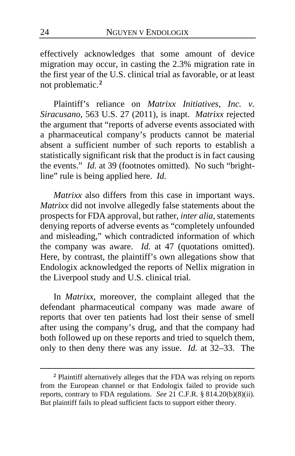effectively acknowledges that some amount of device migration may occur, in casting the 2.3% migration rate in the first year of the U.S. clinical trial as favorable, or at least not problematic.**[2](#page-23-0)**

Plaintiff's reliance on *Matrixx Initiatives, Inc. v. Siracusano*, 563 U.S. 27 (2011), is inapt. *Matrixx* rejected the argument that "reports of adverse events associated with a pharmaceutical company's products cannot be material absent a sufficient number of such reports to establish a statistically significant risk that the product is in fact causing the events." *Id.* at 39 (footnotes omitted). No such "brightline" rule is being applied here. *Id.*

*Matrixx* also differs from this case in important ways. *Matrixx* did not involve allegedly false statements about the prospects for FDA approval, but rather, *inter alia*, statements denying reports of adverse events as "completely unfounded and misleading," which contradicted information of which the company was aware. *Id.* at 47 (quotations omitted). Here, by contrast, the plaintiff's own allegations show that Endologix acknowledged the reports of Nellix migration in the Liverpool study and U.S. clinical trial.

In *Matrixx*, moreover, the complaint alleged that the defendant pharmaceutical company was made aware of reports that over ten patients had lost their sense of smell after using the company's drug, and that the company had both followed up on these reports and tried to squelch them, only to then deny there was any issue. *Id.* at 32–33. The

<span id="page-23-0"></span>**<sup>2</sup>** Plaintiff alternatively alleges that the FDA was relying on reports from the European channel or that Endologix failed to provide such reports, contrary to FDA regulations. *See* 21 C.F.R. § 814.20(b)(8)(ii). But plaintiff fails to plead sufficient facts to support either theory.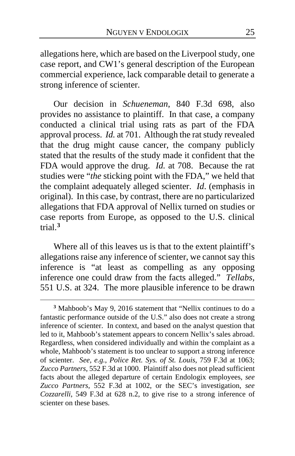allegations here, which are based on the Liverpool study, one case report, and CW1's general description of the European commercial experience, lack comparable detail to generate a strong inference of scienter.

Our decision in *Schueneman*, 840 F.3d 698, also provides no assistance to plaintiff. In that case, a company conducted a clinical trial using rats as part of the FDA approval process. *Id.* at 701. Although the rat study revealed that the drug might cause cancer, the company publicly stated that the results of the study made it confident that the FDA would approve the drug. *Id.* at 708. Because the rat studies were "*the* sticking point with the FDA," we held that the complaint adequately alleged scienter. *Id*. (emphasis in original). In this case, by contrast, there are no particularized allegations that FDA approval of Nellix turned on studies or case reports from Europe, as opposed to the U.S. clinical trial.**[3](#page-24-0)**

Where all of this leaves us is that to the extent plaintiff's allegations raise any inference of scienter, we cannot say this inference is "at least as compelling as any opposing inference one could draw from the facts alleged." *Tellabs*, 551 U.S. at 324. The more plausible inference to be drawn

<span id="page-24-0"></span>**<sup>3</sup>** Mahboob's May 9, 2016 statement that "Nellix continues to do a fantastic performance outside of the U.S." also does not create a strong inference of scienter. In context, and based on the analyst question that led to it, Mahboob's statement appears to concern Nellix's sales abroad. Regardless, when considered individually and within the complaint as a whole, Mahboob's statement is too unclear to support a strong inference of scienter. *See, e.g.*, *Police Ret. Sys. of St. Louis*, 759 F.3d at 1063; *Zucco Partners*, 552 F.3d at 1000. Plaintiff also does not plead sufficient facts about the alleged departure of certain Endologix employees, *see Zucco Partners*, 552 F.3d at 1002, or the SEC's investigation, *see Cozzarelli*, 549 F.3d at 628 n.2, to give rise to a strong inference of scienter on these bases.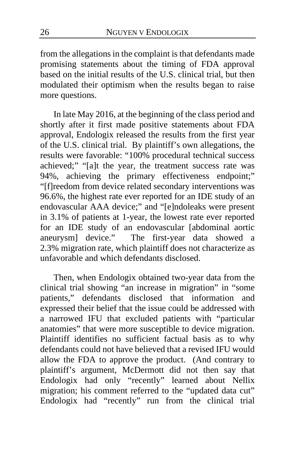from the allegations in the complaint is that defendants made promising statements about the timing of FDA approval based on the initial results of the U.S. clinical trial, but then modulated their optimism when the results began to raise more questions.

In late May 2016, at the beginning of the class period and shortly after it first made positive statements about FDA approval, Endologix released the results from the first year of the U.S. clinical trial. By plaintiff's own allegations, the results were favorable: "100% procedural technical success achieved;" "[a]t the year, the treatment success rate was 94%, achieving the primary effectiveness endpoint;" "[f]reedom from device related secondary interventions was 96.6%, the highest rate ever reported for an IDE study of an endovascular AAA device;" and "[e]ndoleaks were present in 3.1% of patients at 1-year, the lowest rate ever reported for an IDE study of an endovascular [abdominal aortic aneurysm] device."The first-year data showed a 2.3% migration rate, which plaintiff does not characterize as unfavorable and which defendants disclosed.

Then, when Endologix obtained two-year data from the clinical trial showing "an increase in migration" in "some patients," defendants disclosed that information and expressed their belief that the issue could be addressed with a narrowed IFU that excluded patients with "particular anatomies" that were more susceptible to device migration. Plaintiff identifies no sufficient factual basis as to why defendants could not have believed that a revised IFU would allow the FDA to approve the product. (And contrary to plaintiff's argument, McDermott did not then say that Endologix had only "recently" learned about Nellix migration; his comment referred to the "updated data cut" Endologix had "recently" run from the clinical trial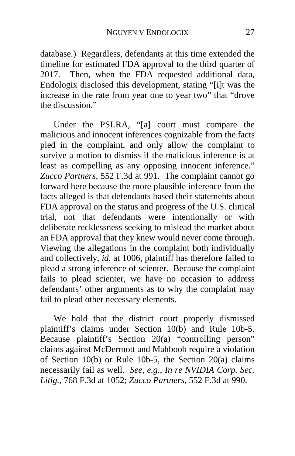database.) Regardless, defendants at this time extended the timeline for estimated FDA approval to the third quarter of 2017. Then, when the FDA requested additional data, Endologix disclosed this development, stating "[i]t was the increase in the rate from year one to year two" that "drove the discussion."

Under the PSLRA, "[a] court must compare the malicious and innocent inferences cognizable from the facts pled in the complaint, and only allow the complaint to survive a motion to dismiss if the malicious inference is at least as compelling as any opposing innocent inference." *Zucco Partners*, 552 F.3d at 991. The complaint cannot go forward here because the more plausible inference from the facts alleged is that defendants based their statements about FDA approval on the status and progress of the U.S. clinical trial, not that defendants were intentionally or with deliberate recklessness seeking to mislead the market about an FDA approval that they knew would never come through. Viewing the allegations in the complaint both individually and collectively, *id.* at 1006, plaintiff has therefore failed to plead a strong inference of scienter. Because the complaint fails to plead scienter, we have no occasion to address defendants' other arguments as to why the complaint may fail to plead other necessary elements.

We hold that the district court properly dismissed plaintiff's claims under Section 10(b) and Rule 10b-5. Because plaintiff's Section 20(a) "controlling person" claims against McDermott and Mahboob require a violation of Section 10(b) or Rule 10b-5, the Section 20(a) claims necessarily fail as well. *See, e.g.*, *In re NVIDIA Corp. Sec. Litig.*, 768 F.3d at 1052; *Zucco Partners*, 552 F.3d at 990.